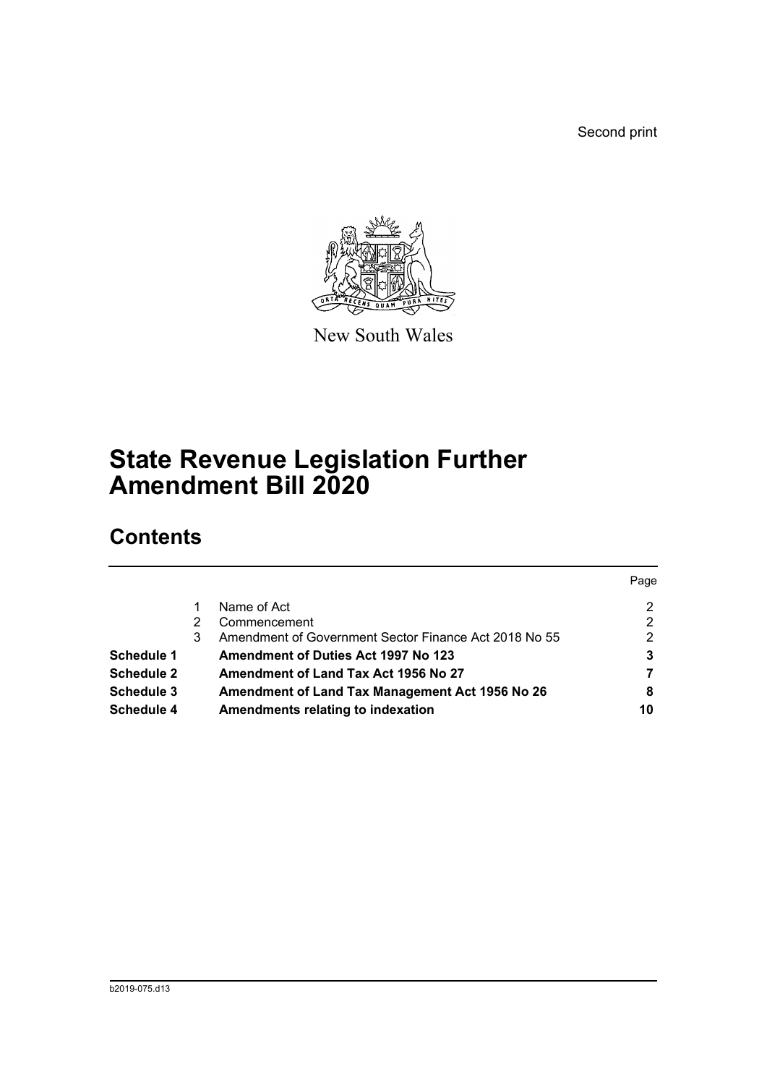Second print



New South Wales

# **State Revenue Legislation Further Amendment Bill 2020**

# **Contents**

|                   |   |                                                       | Page |
|-------------------|---|-------------------------------------------------------|------|
|                   |   | Name of Act                                           | 2    |
|                   | 2 | Commencement                                          | 2    |
|                   | 3 | Amendment of Government Sector Finance Act 2018 No 55 | 2    |
| Schedule 1        |   | <b>Amendment of Duties Act 1997 No 123</b>            | 3    |
| <b>Schedule 2</b> |   | Amendment of Land Tax Act 1956 No 27                  |      |
| <b>Schedule 3</b> |   | Amendment of Land Tax Management Act 1956 No 26       | 8    |
| <b>Schedule 4</b> |   | Amendments relating to indexation                     | 10   |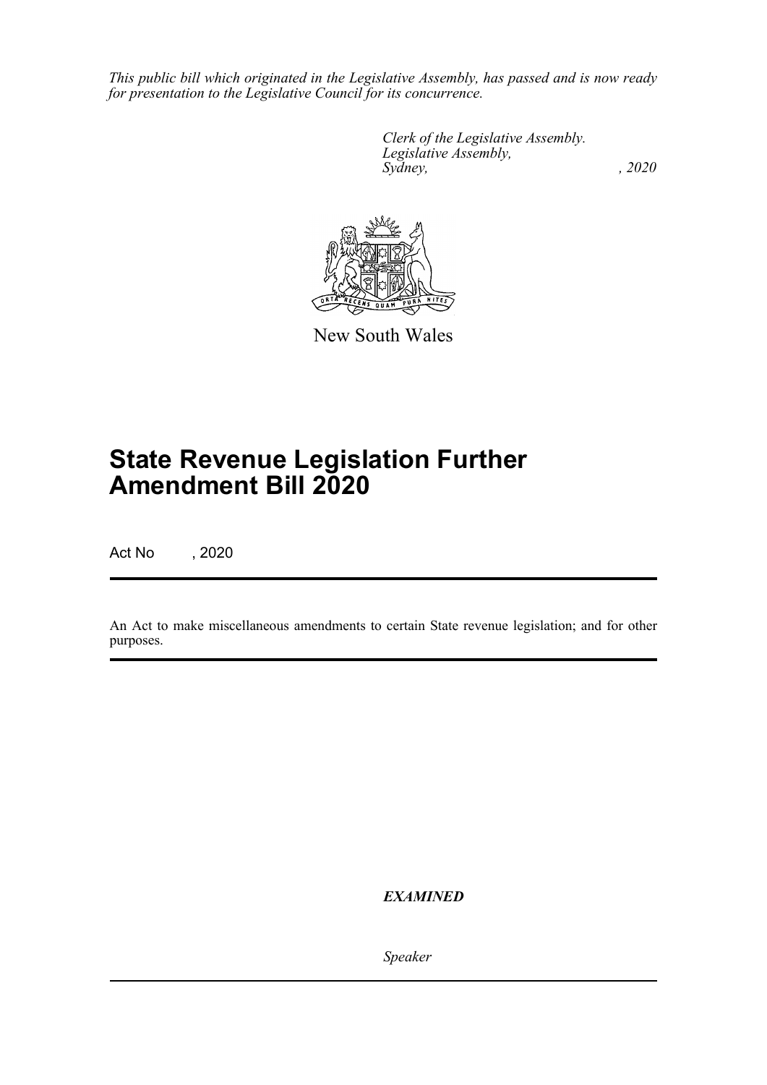*This public bill which originated in the Legislative Assembly, has passed and is now ready for presentation to the Legislative Council for its concurrence.*

> *Clerk of the Legislative Assembly. Legislative Assembly, Sydney,* , 2020



New South Wales

# **State Revenue Legislation Further Amendment Bill 2020**

Act No , 2020

An Act to make miscellaneous amendments to certain State revenue legislation; and for other purposes.

*EXAMINED*

*Speaker*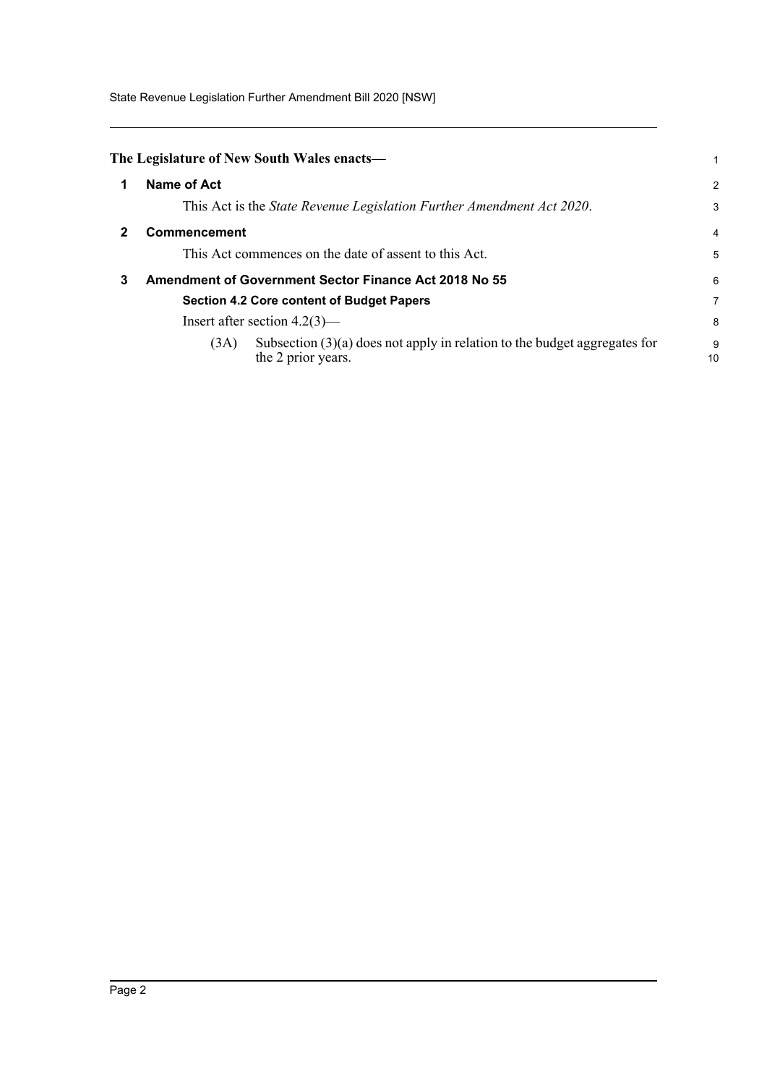State Revenue Legislation Further Amendment Bill 2020 [NSW]

<span id="page-2-2"></span><span id="page-2-1"></span><span id="page-2-0"></span>

|   | The Legislature of New South Wales enacts—                                                                |                |
|---|-----------------------------------------------------------------------------------------------------------|----------------|
|   | Name of Act                                                                                               | $\overline{2}$ |
|   | This Act is the State Revenue Legislation Further Amendment Act 2020.                                     | 3              |
|   | <b>Commencement</b>                                                                                       | $\overline{4}$ |
|   | This Act commences on the date of assent to this Act.                                                     | 5              |
| 3 | <b>Amendment of Government Sector Finance Act 2018 No 55</b>                                              | 6              |
|   | <b>Section 4.2 Core content of Budget Papers</b>                                                          | $\overline{7}$ |
|   | Insert after section $4.2(3)$ —                                                                           | -8             |
|   | Subsection $(3)(a)$ does not apply in relation to the budget aggregates for<br>(3A)<br>the 2 prior years. | 9<br>10        |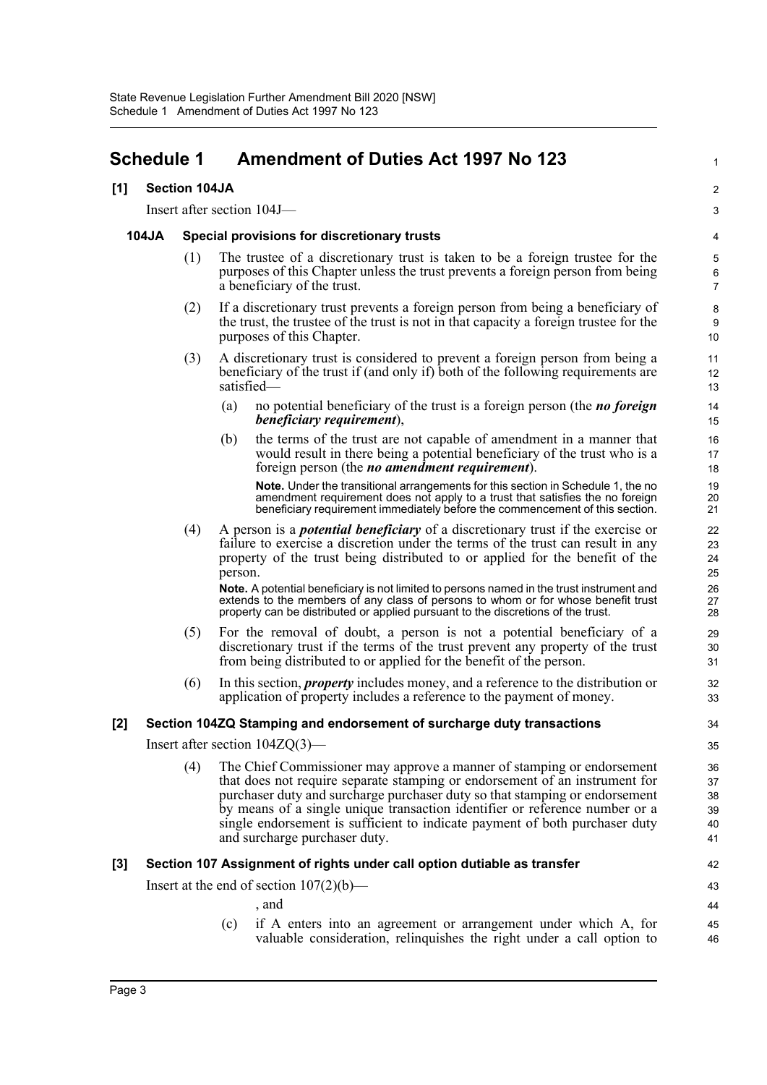# <span id="page-3-0"></span>**Schedule 1 Amendment of Duties Act 1997 No 123**

#### **[1] Section 104JA**

Insert after section 104J—

#### **104JA Special provisions for discretionary trusts**

(1) The trustee of a discretionary trust is taken to be a foreign trustee for the purposes of this Chapter unless the trust prevents a foreign person from being a beneficiary of the trust.

1

42 43

46

- (2) If a discretionary trust prevents a foreign person from being a beneficiary of the trust, the trustee of the trust is not in that capacity a foreign trustee for the purposes of this Chapter.
- (3) A discretionary trust is considered to prevent a foreign person from being a beneficiary of the trust if (and only if) both of the following requirements are satisfied—
	- (a) no potential beneficiary of the trust is a foreign person (the *no foreign beneficiary requirement*),
	- (b) the terms of the trust are not capable of amendment in a manner that would result in there being a potential beneficiary of the trust who is a foreign person (the *no amendment requirement*).

**Note.** Under the transitional arrangements for this section in Schedule 1, the no amendment requirement does not apply to a trust that satisfies the no foreign beneficiary requirement immediately before the commencement of this section.

(4) A person is a *potential beneficiary* of a discretionary trust if the exercise or failure to exercise a discretion under the terms of the trust can result in any property of the trust being distributed to or applied for the benefit of the person.

**Note.** A potential beneficiary is not limited to persons named in the trust instrument and extends to the members of any class of persons to whom or for whose benefit trust property can be distributed or applied pursuant to the discretions of the trust.

- (5) For the removal of doubt, a person is not a potential beneficiary of a discretionary trust if the terms of the trust prevent any property of the trust from being distributed to or applied for the benefit of the person.
- (6) In this section, *property* includes money, and a reference to the distribution or application of property includes a reference to the payment of money.

### **[2] Section 104ZQ Stamping and endorsement of surcharge duty transactions**

Insert after section 104ZQ(3)—

(4) The Chief Commissioner may approve a manner of stamping or endorsement that does not require separate stamping or endorsement of an instrument for purchaser duty and surcharge purchaser duty so that stamping or endorsement by means of a single unique transaction identifier or reference number or a single endorsement is sufficient to indicate payment of both purchaser duty and surcharge purchaser duty.

### **[3] Section 107 Assignment of rights under call option dutiable as transfer**

Insert at the end of section  $107(2)(b)$ —

, and (c) if A enters into an agreement or arrangement under which A, for 44 45

valuable consideration, relinquishes the right under a call option to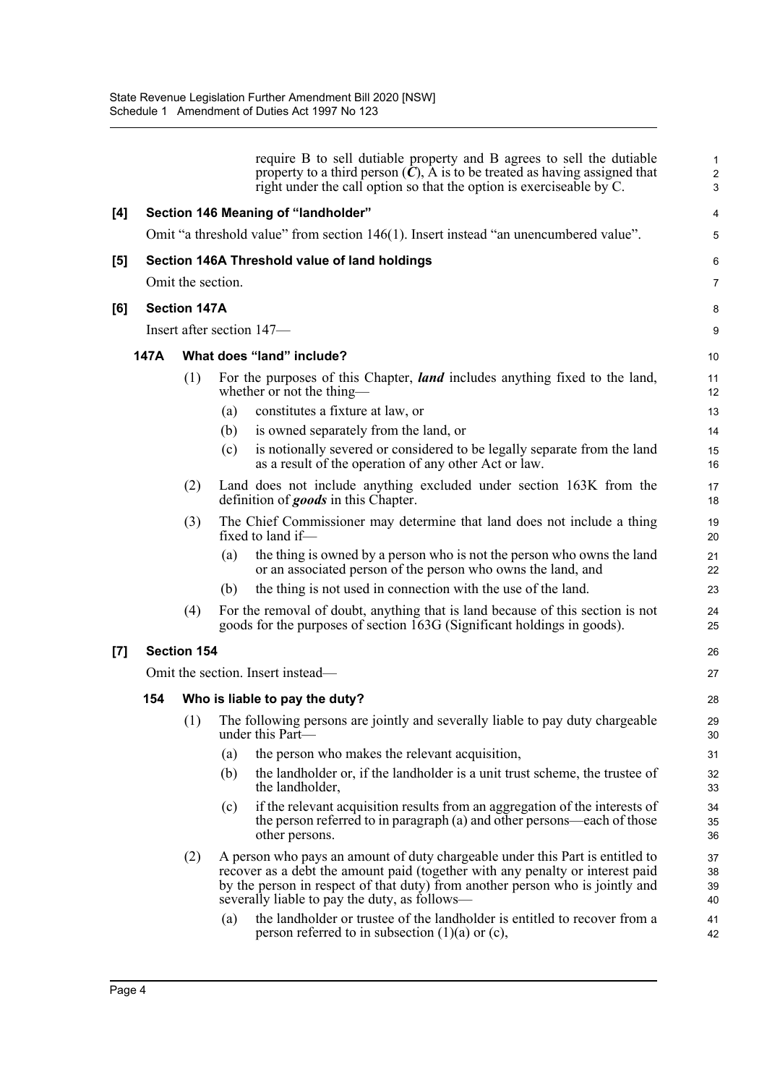|     |      |                     |     | require B to sell dutiable property and B agrees to sell the dutiable<br>property to a third person $(C)$ , A is to be treated as having assigned that<br>right under the call option so that the option is exerciseable by C.                                                                   | $\mathbf{1}$<br>2<br>3 |
|-----|------|---------------------|-----|--------------------------------------------------------------------------------------------------------------------------------------------------------------------------------------------------------------------------------------------------------------------------------------------------|------------------------|
| [4] |      |                     |     | Section 146 Meaning of "landholder"                                                                                                                                                                                                                                                              | 4                      |
|     |      |                     |     | Omit "a threshold value" from section 146(1). Insert instead "an unencumbered value".                                                                                                                                                                                                            | 5                      |
| [5] |      |                     |     | Section 146A Threshold value of land holdings                                                                                                                                                                                                                                                    | 6                      |
|     |      | Omit the section.   |     |                                                                                                                                                                                                                                                                                                  | $\overline{7}$         |
| [6] |      | <b>Section 147A</b> |     |                                                                                                                                                                                                                                                                                                  | 8                      |
|     |      |                     |     | Insert after section 147-                                                                                                                                                                                                                                                                        | 9                      |
|     | 147A |                     |     | What does "land" include?                                                                                                                                                                                                                                                                        | 10                     |
|     |      | (1)                 |     | For the purposes of this Chapter, <i>land</i> includes anything fixed to the land,<br>whether or not the thing—                                                                                                                                                                                  | 11<br>12               |
|     |      |                     | (a) | constitutes a fixture at law, or                                                                                                                                                                                                                                                                 | 13                     |
|     |      |                     | (b) | is owned separately from the land, or                                                                                                                                                                                                                                                            | 14                     |
|     |      |                     | (c) | is notionally severed or considered to be legally separate from the land<br>as a result of the operation of any other Act or law.                                                                                                                                                                | 15<br>16               |
|     |      | (2)                 |     | Land does not include anything excluded under section 163K from the<br>definition of goods in this Chapter.                                                                                                                                                                                      | 17<br>18               |
|     |      | (3)                 |     | The Chief Commissioner may determine that land does not include a thing<br>fixed to land if-                                                                                                                                                                                                     | 19<br>20               |
|     |      |                     | (a) | the thing is owned by a person who is not the person who owns the land<br>or an associated person of the person who owns the land, and                                                                                                                                                           | 21<br>22               |
|     |      |                     | (b) | the thing is not used in connection with the use of the land.                                                                                                                                                                                                                                    | 23                     |
|     |      | (4)                 |     | For the removal of doubt, anything that is land because of this section is not<br>goods for the purposes of section 163G (Significant holdings in goods).                                                                                                                                        | 24<br>25               |
| [7] |      | <b>Section 154</b>  |     |                                                                                                                                                                                                                                                                                                  | 26                     |
|     |      |                     |     | Omit the section. Insert instead—                                                                                                                                                                                                                                                                | 27                     |
|     | 154  |                     |     | Who is liable to pay the duty?                                                                                                                                                                                                                                                                   | 28                     |
|     |      | (1)                 |     | The following persons are jointly and severally liable to pay duty chargeable<br>under this Part-                                                                                                                                                                                                | 29<br>30               |
|     |      |                     | (a) | the person who makes the relevant acquisition,                                                                                                                                                                                                                                                   | 31                     |
|     |      |                     | (b) | the landholder or, if the landholder is a unit trust scheme, the trustee of<br>the landholder,                                                                                                                                                                                                   | 32<br>33               |
|     |      |                     | (c) | if the relevant acquisition results from an aggregation of the interests of<br>the person referred to in paragraph (a) and other persons—each of those<br>other persons.                                                                                                                         | 34<br>35<br>36         |
|     |      | (2)                 |     | A person who pays an amount of duty chargeable under this Part is entitled to<br>recover as a debt the amount paid (together with any penalty or interest paid<br>by the person in respect of that duty) from another person who is jointly and<br>severally liable to pay the duty, as follows— | 37<br>38<br>39<br>40   |
|     |      |                     | (a) | the landholder or trustee of the landholder is entitled to recover from a<br>person referred to in subsection $(1)(a)$ or $(c)$ ,                                                                                                                                                                | 41<br>42               |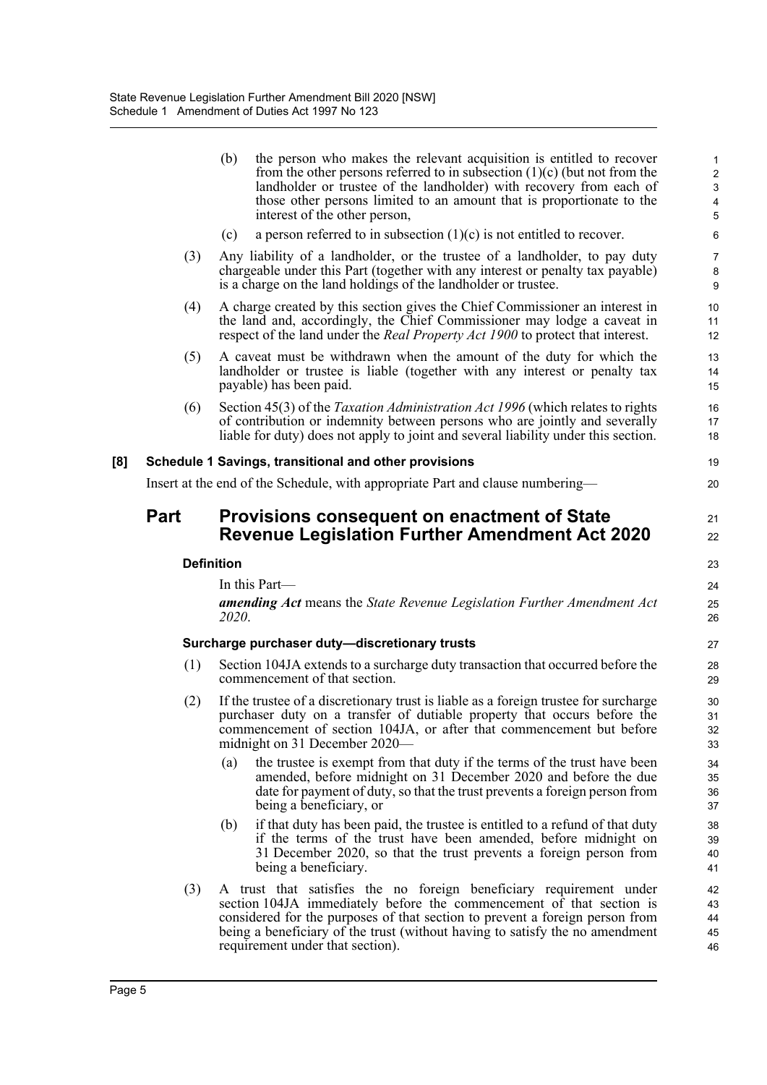|     |      | (b)<br>the person who makes the relevant acquisition is entitled to recover<br>from the other persons referred to in subsection $(1)(c)$ (but not from the<br>landholder or trustee of the landholder) with recovery from each of<br>those other persons limited to an amount that is proportionate to the<br>interest of the other person,     | 1<br>$\overline{c}$<br>$\ensuremath{\mathsf{3}}$<br>$\pmb{4}$<br>5 |
|-----|------|-------------------------------------------------------------------------------------------------------------------------------------------------------------------------------------------------------------------------------------------------------------------------------------------------------------------------------------------------|--------------------------------------------------------------------|
|     |      | a person referred to in subsection $(1)(c)$ is not entitled to recover.<br>(c)                                                                                                                                                                                                                                                                  | 6                                                                  |
|     | (3)  | Any liability of a landholder, or the trustee of a landholder, to pay duty<br>chargeable under this Part (together with any interest or penalty tax payable)<br>is a charge on the land holdings of the landholder or trustee.                                                                                                                  | $\overline{7}$<br>8<br>9                                           |
|     | (4)  | A charge created by this section gives the Chief Commissioner an interest in<br>the land and, accordingly, the Chief Commissioner may lodge a caveat in<br>respect of the land under the <i>Real Property Act 1900</i> to protect that interest.                                                                                                | 10<br>11<br>12                                                     |
|     | (5)  | A caveat must be withdrawn when the amount of the duty for which the<br>landholder or trustee is liable (together with any interest or penalty tax<br>payable) has been paid.                                                                                                                                                                   | 13<br>14<br>15                                                     |
|     | (6)  | Section 45(3) of the <i>Taxation Administration Act 1996</i> (which relates to rights<br>of contribution or indemnity between persons who are jointly and severally<br>liable for duty) does not apply to joint and several liability under this section.                                                                                       | 16<br>17<br>18                                                     |
| [8] |      | Schedule 1 Savings, transitional and other provisions                                                                                                                                                                                                                                                                                           | 19                                                                 |
|     |      | Insert at the end of the Schedule, with appropriate Part and clause numbering-                                                                                                                                                                                                                                                                  | 20                                                                 |
|     | Part | <b>Provisions consequent on enactment of State</b><br><b>Revenue Legislation Further Amendment Act 2020</b>                                                                                                                                                                                                                                     | 21<br>22                                                           |
|     |      | <b>Definition</b>                                                                                                                                                                                                                                                                                                                               | 23                                                                 |
|     |      | In this Part-                                                                                                                                                                                                                                                                                                                                   | 24                                                                 |
|     |      | <b>amending Act</b> means the State Revenue Legislation Further Amendment Act<br>2020.                                                                                                                                                                                                                                                          | 25<br>26                                                           |
|     |      | Surcharge purchaser duty-discretionary trusts                                                                                                                                                                                                                                                                                                   | 27                                                                 |
|     | (1)  | Section 104JA extends to a surcharge duty transaction that occurred before the<br>commencement of that section.                                                                                                                                                                                                                                 | 28<br>29                                                           |
|     | (2)  | If the trustee of a discretionary trust is liable as a foreign trustee for surcharge<br>purchaser duty on a transfer of dutiable property that occurs before the<br>commencement of section 104JA, or after that commencement but before<br>midnight on 31 December 2020—                                                                       | 30<br>31<br>32<br>33                                               |
|     |      | the trustee is exempt from that duty if the terms of the trust have been<br>(a)<br>amended, before midnight on 31 December 2020 and before the due<br>date for payment of duty, so that the trust prevents a foreign person from<br>being a beneficiary, or                                                                                     | 34<br>35<br>36<br>37                                               |
|     |      | if that duty has been paid, the trustee is entitled to a refund of that duty<br>(b)<br>if the terms of the trust have been amended, before midnight on<br>31 December 2020, so that the trust prevents a foreign person from<br>being a beneficiary.                                                                                            | 38<br>39<br>40<br>41                                               |
|     | (3)  | A trust that satisfies the no foreign beneficiary requirement under<br>section 104JA immediately before the commencement of that section is<br>considered for the purposes of that section to prevent a foreign person from<br>being a beneficiary of the trust (without having to satisfy the no amendment<br>requirement under that section). | 42<br>43<br>44<br>45<br>46                                         |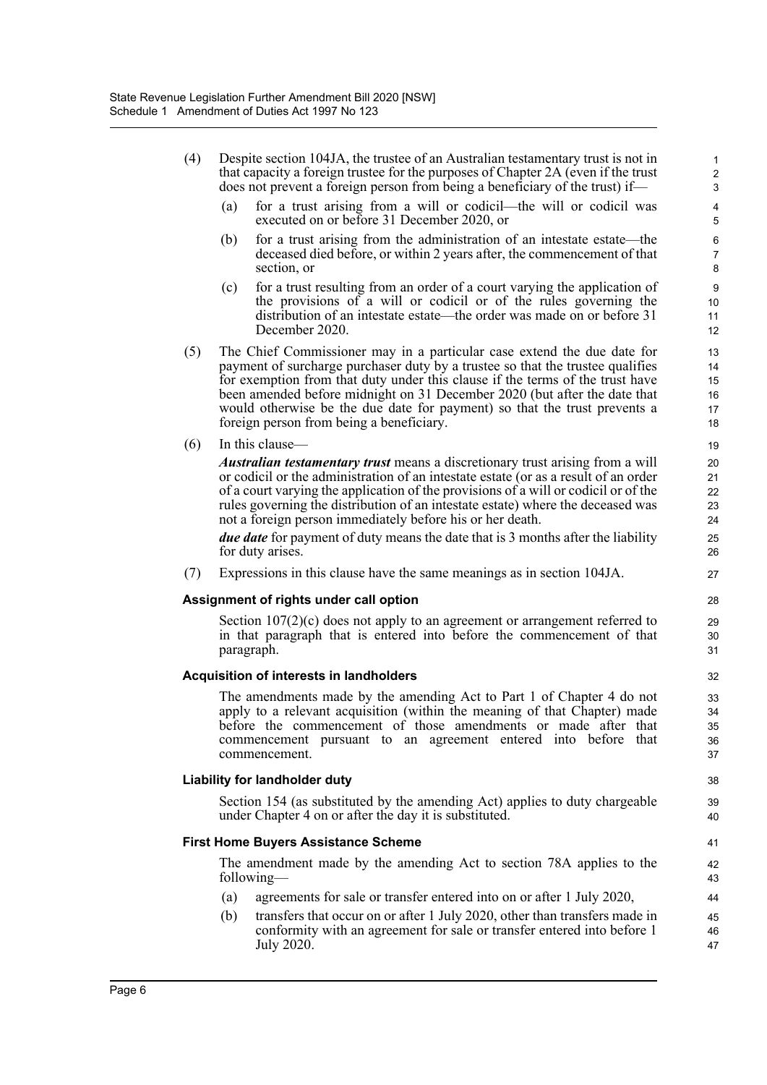- (4) Despite section 104JA, the trustee of an Australian testamentary trust is not in that capacity a foreign trustee for the purposes of Chapter 2A (even if the trust does not prevent a foreign person from being a beneficiary of the trust) if— (a) for a trust arising from a will or codicil—the will or codicil was executed on or before 31 December 2020, or (b) for a trust arising from the administration of an intestate estate—the deceased died before, or within 2 years after, the commencement of that section, or (c) for a trust resulting from an order of a court varying the application of the provisions of a will or codicil or of the rules governing the distribution of an intestate estate—the order was made on or before 31 December 2020. (5) The Chief Commissioner may in a particular case extend the due date for payment of surcharge purchaser duty by a trustee so that the trustee qualifies for exemption from that duty under this clause if the terms of the trust have been amended before midnight on 31 December 2020 (but after the date that would otherwise be the due date for payment) so that the trust prevents a foreign person from being a beneficiary. (6) In this clause— *Australian testamentary trust* means a discretionary trust arising from a will or codicil or the administration of an intestate estate (or as a result of an order of a court varying the application of the provisions of a will or codicil or of the rules governing the distribution of an intestate estate) where the deceased was not a foreign person immediately before his or her death. *due date* for payment of duty means the date that is 3 months after the liability for duty arises. (7) Expressions in this clause have the same meanings as in section 104JA. **Assignment of rights under call option** Section 107(2)(c) does not apply to an agreement or arrangement referred to in that paragraph that is entered into before the commencement of that paragraph. **Acquisition of interests in landholders** The amendments made by the amending Act to Part 1 of Chapter 4 do not apply to a relevant acquisition (within the meaning of that Chapter) made before the commencement of those amendments or made after that commencement pursuant to an agreement entered into before that commencement. **Liability for landholder duty** Section 154 (as substituted by the amending Act) applies to duty chargeable under Chapter 4 on or after the day it is substituted. **First Home Buyers Assistance Scheme** The amendment made by the amending Act to section 78A applies to the following— 1 2 3 4 5 6 7 8 9 10 11 12 13 14 15 16 17 18 19 20 21 22 23  $24$ 25 26 27 28 29 30 31 32 33 34 35 36 37 38 39 40 41 42 43 44
	- (a) agreements for sale or transfer entered into on or after 1 July 2020,
	- (b) transfers that occur on or after 1 July 2020, other than transfers made in conformity with an agreement for sale or transfer entered into before 1 July 2020. 45 46 47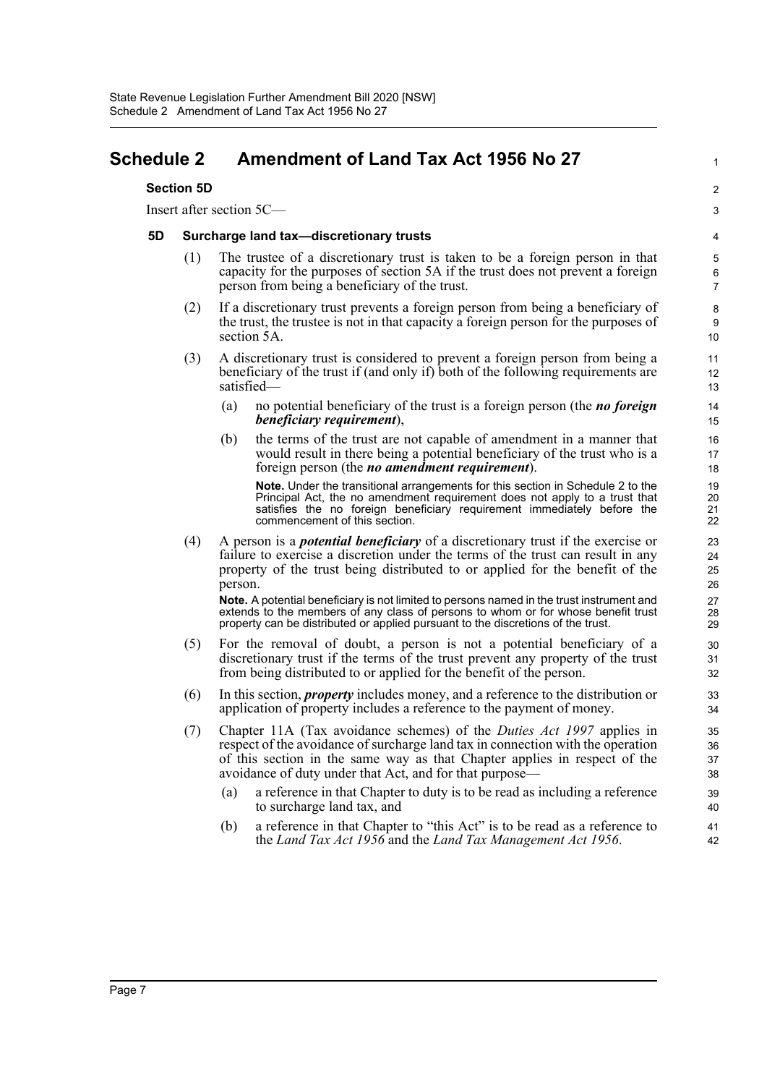## <span id="page-7-0"></span>**Schedule 2 Amendment of Land Tax Act 1956 No 27**

#### **Section 5D**

Insert after section 5C—

#### **5D Surcharge land tax—discretionary trusts**

(1) The trustee of a discretionary trust is taken to be a foreign person in that capacity for the purposes of section 5A if the trust does not prevent a foreign person from being a beneficiary of the trust.

1

 $\overline{2}$ 3

- (2) If a discretionary trust prevents a foreign person from being a beneficiary of the trust, the trustee is not in that capacity a foreign person for the purposes of section 5A.
- (3) A discretionary trust is considered to prevent a foreign person from being a beneficiary of the trust if (and only if) both of the following requirements are satisfied—
	- (a) no potential beneficiary of the trust is a foreign person (the *no foreign beneficiary requirement*),
	- (b) the terms of the trust are not capable of amendment in a manner that would result in there being a potential beneficiary of the trust who is a foreign person (the *no amendment requirement*).

**Note.** Under the transitional arrangements for this section in Schedule 2 to the Principal Act, the no amendment requirement does not apply to a trust that satisfies the no foreign beneficiary requirement immediately before the commencement of this section.

(4) A person is a *potential beneficiary* of a discretionary trust if the exercise or failure to exercise a discretion under the terms of the trust can result in any property of the trust being distributed to or applied for the benefit of the person.

**Note.** A potential beneficiary is not limited to persons named in the trust instrument and extends to the members of any class of persons to whom or for whose benefit trust property can be distributed or applied pursuant to the discretions of the trust.

- (5) For the removal of doubt, a person is not a potential beneficiary of a discretionary trust if the terms of the trust prevent any property of the trust from being distributed to or applied for the benefit of the person.
- (6) In this section, *property* includes money, and a reference to the distribution or application of property includes a reference to the payment of money.
- (7) Chapter 11A (Tax avoidance schemes) of the *Duties Act 1997* applies in respect of the avoidance of surcharge land tax in connection with the operation of this section in the same way as that Chapter applies in respect of the avoidance of duty under that Act, and for that purpose—
	- (a) a reference in that Chapter to duty is to be read as including a reference to surcharge land tax, and
	- (b) a reference in that Chapter to "this Act" is to be read as a reference to the *Land Tax Act 1956* and the *Land Tax Management Act 1956*.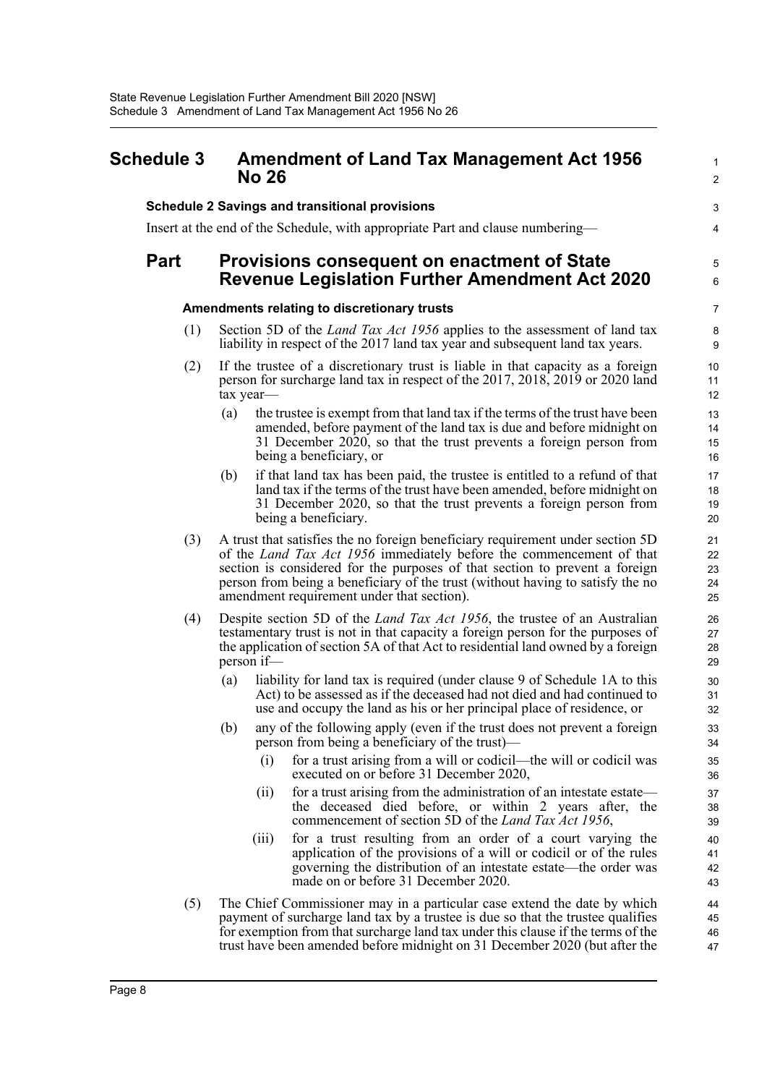## <span id="page-8-0"></span>**Schedule 3 Amendment of Land Tax Management Act 1956 No 26**

#### **Schedule 2 Savings and transitional provisions**

Insert at the end of the Schedule, with appropriate Part and clause numbering—

## **Part Provisions consequent on enactment of State Revenue Legislation Further Amendment Act 2020**

#### **Amendments relating to discretionary trusts**

- (1) Section 5D of the *Land Tax Act 1956* applies to the assessment of land tax liability in respect of the 2017 land tax year and subsequent land tax years.
- (2) If the trustee of a discretionary trust is liable in that capacity as a foreign person for surcharge land tax in respect of the 2017, 2018, 2019 or 2020 land tax year—
	- (a) the trustee is exempt from that land tax if the terms of the trust have been amended, before payment of the land tax is due and before midnight on 31 December 2020, so that the trust prevents a foreign person from being a beneficiary, or

1  $\mathcal{L}$ 

3 4

5 6

- (b) if that land tax has been paid, the trustee is entitled to a refund of that land tax if the terms of the trust have been amended, before midnight on 31 December 2020, so that the trust prevents a foreign person from being a beneficiary.
- (3) A trust that satisfies the no foreign beneficiary requirement under section 5D of the *Land Tax Act 1956* immediately before the commencement of that section is considered for the purposes of that section to prevent a foreign person from being a beneficiary of the trust (without having to satisfy the no amendment requirement under that section).
- (4) Despite section 5D of the *Land Tax Act 1956*, the trustee of an Australian testamentary trust is not in that capacity a foreign person for the purposes of the application of section 5A of that Act to residential land owned by a foreign person if—
	- (a) liability for land tax is required (under clause 9 of Schedule 1A to this Act) to be assessed as if the deceased had not died and had continued to use and occupy the land as his or her principal place of residence, or
	- (b) any of the following apply (even if the trust does not prevent a foreign person from being a beneficiary of the trust)—
		- (i) for a trust arising from a will or codicil—the will or codicil was executed on or before 31 December 2020,
		- (ii) for a trust arising from the administration of an intestate estate the deceased died before, or within 2 years after, the commencement of section 5D of the *Land Tax Act 1956*,
		- (iii) for a trust resulting from an order of a court varying the application of the provisions of a will or codicil or of the rules governing the distribution of an intestate estate—the order was made on or before 31 December 2020.
- (5) The Chief Commissioner may in a particular case extend the date by which payment of surcharge land tax by a trustee is due so that the trustee qualifies for exemption from that surcharge land tax under this clause if the terms of the trust have been amended before midnight on 31 December 2020 (but after the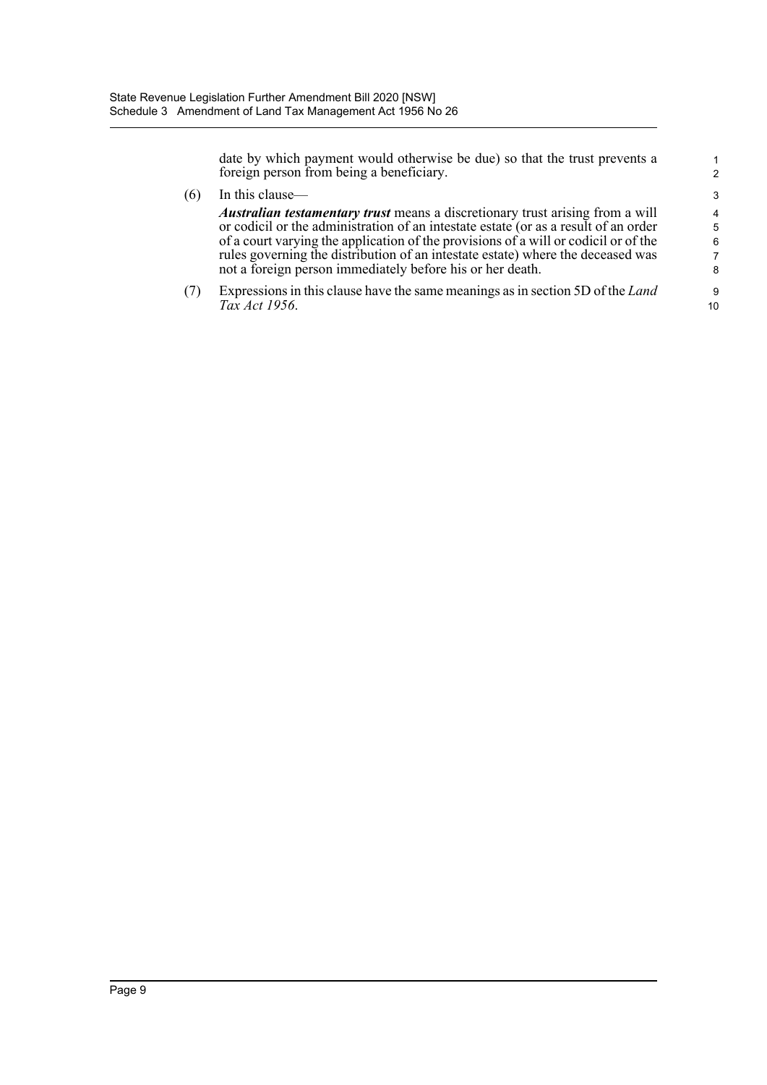date by which payment would otherwise be due) so that the trust prevents a foreign person from being a beneficiary.

1 2

10

| (6) | In this clause—                                                                       | 3                       |
|-----|---------------------------------------------------------------------------------------|-------------------------|
|     | <i>Australian testamentary trust</i> means a discretionary trust arising from a will  | $\overline{\mathbf{A}}$ |
|     | or codicil or the administration of an intestate estate (or as a result of an order   | 5                       |
|     | of a court varying the application of the provisions of a will or codicil or of the   | 6                       |
|     | rules governing the distribution of an intestate estate) where the deceased was       | 7                       |
|     | not a foreign person immediately before his or her death.                             | 8                       |
|     | Expressions in this clause have the same meanings as in section 5D of the <i>Land</i> | 9                       |
|     | Tax Act 1956.                                                                         | 10                      |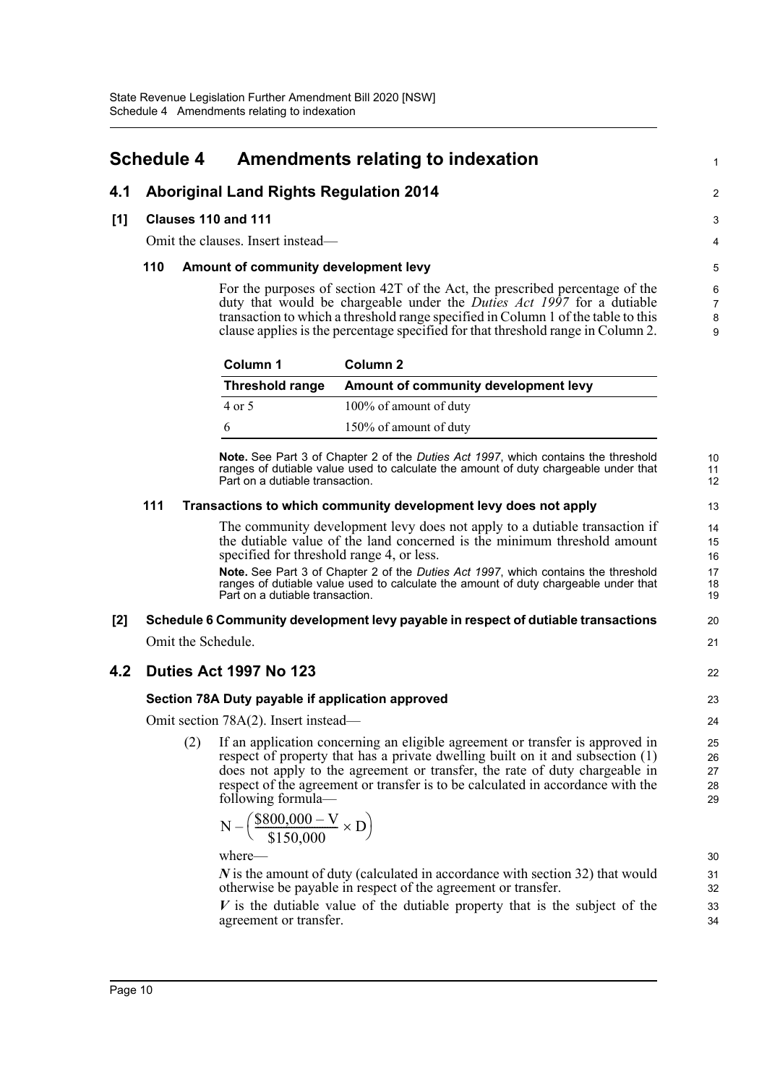## <span id="page-10-0"></span>**Schedule 4 Amendments relating to indexation**

## **4.1 Aboriginal Land Rights Regulation 2014**

#### **[1] Clauses 110 and 111**

Omit the clauses. Insert instead—

#### **110 Amount of community development levy**

For the purposes of section 42T of the Act, the prescribed percentage of the duty that would be chargeable under the *Duties Act 1997* for a dutiable transaction to which a threshold range specified in Column 1 of the table to this clause applies is the percentage specified for that threshold range in Column 2.

1

 $\mathfrak{D}$ 

22

| Column 1               | Column 2                             |
|------------------------|--------------------------------------|
| <b>Threshold range</b> | Amount of community development levy |
| 4 or 5                 | 100% of amount of duty               |
| 6                      | 150% of amount of duty               |

**Note.** See Part 3 of Chapter 2 of the *Duties Act 1997*, which contains the threshold ranges of dutiable value used to calculate the amount of duty chargeable under that Part on a dutiable transaction.

#### **111 Transactions to which community development levy does not apply**

The community development levy does not apply to a dutiable transaction if the dutiable value of the land concerned is the minimum threshold amount specified for threshold range 4, or less.

**Note.** See Part 3 of Chapter 2 of the *Duties Act 1997*, which contains the threshold ranges of dutiable value used to calculate the amount of duty chargeable under that Part on a dutiable transaction.

# **[2] Schedule 6 Community development levy payable in respect of dutiable transactions**

Omit the Schedule.

### **4.2 Duties Act 1997 No 123**

#### **Section 78A Duty payable if application approved**

Omit section 78A(2). Insert instead—

(2) If an application concerning an eligible agreement or transfer is approved in respect of property that has a private dwelling built on it and subsection (1) does not apply to the agreement or transfer, the rate of duty chargeable in respect of the agreement or transfer is to be calculated in accordance with the following formula—

$$
N - \left(\frac{\$800,000 - V}{\$150,000} \times D\right)
$$

where—

*N* is the amount of duty (calculated in accordance with section 32) that would otherwise be payable in respect of the agreement or transfer.

*V* is the dutiable value of the dutiable property that is the subject of the agreement or transfer.